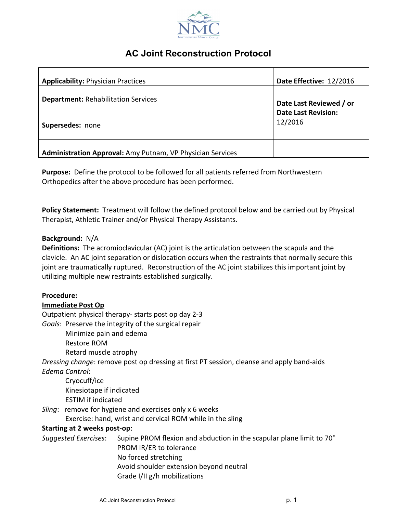

# **AC Joint Reconstruction Protocol**

| <b>Applicability: Physician Practices</b>                  | Date Effective: 12/2016               |
|------------------------------------------------------------|---------------------------------------|
| <b>Department: Rehabilitation Services</b>                 | Date Last Reviewed / or               |
| Supersedes: none                                           | <b>Date Last Revision:</b><br>12/2016 |
| Administration Approval: Amy Putnam, VP Physician Services |                                       |

**Purpose:** Define the protocol to be followed for all patients referred from Northwestern Orthopedics after the above procedure has been performed.

**Policy Statement:** Treatment will follow the defined protocol below and be carried out by Physical Therapist, Athletic Trainer and/or Physical Therapy Assistants.

# **Background:** N/A

**Definitions:** The acromioclavicular (AC) joint is the articulation between the scapula and the clavicle. An AC joint separation or dislocation occurs when the restraints that normally secure this joint are traumatically ruptured. Reconstruction of the AC joint stabilizes this important joint by utilizing multiple new restraints established surgically.

# **Procedure:**

# **Immediate Post Op**

Outpatient physical therapy- starts post op day 2-3

Goals: Preserve the integrity of the surgical repair

Minimize pain and edema

Restore ROM

Retard muscle atrophy

*Dressing change*: remove post op dressing at first PT session, cleanse and apply band-aids *Edema Control*:

Cryocuff/ice Kinesiotape if indicated ESTIM if indicated

*Sling*: remove for hygiene and exercises only x 6 weeks

Exercise: hand, wrist and cervical ROM while in the sling

# **Starting at 2 weeks post-op**:

Suggested Exercises: Supine PROM flexion and abduction in the scapular plane limit to 70° PROM IR/ER to tolerance No forced stretching Avoid shoulder extension beyond neutral Grade I/II g/h mobilizations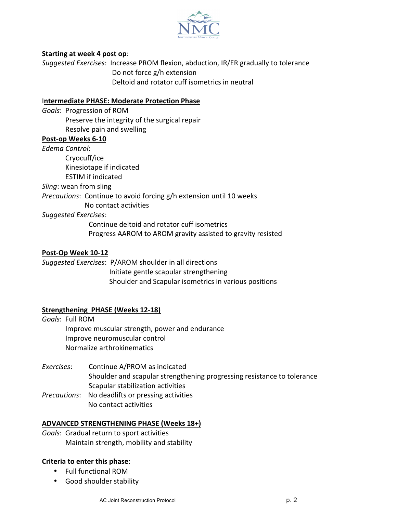

## **Starting at week 4 post op:**

*Suggested Exercises*: Increase PROM flexion, abduction, IR/ER gradually to tolerance Do not force g/h extension Deltoid and rotator cuff isometrics in neutral

#### **Intermediate PHASE: Moderate Protection Phase**

Goals: Progression of ROM Preserve the integrity of the surgical repair Resolve pain and swelling

## Post-op Weeks 6-10

*Edema Control*: Cryocuff/ice Kinesiotape if indicated ESTIM if indicated *Sling*: wean from sling *Precautions*: Continue to avoid forcing g/h extension until 10 weeks No contact activities *Suggested Exercises*:

> Continue deltoid and rotator cuff isometrics Progress AAROM to AROM gravity assisted to gravity resisted

## Post-Op Week 10-12

Suggested Exercises: P/AROM shoulder in all directions Initiate gentle scapular strengthening Shoulder and Scapular isometrics in various positions

# **Strengthening PHASE (Weeks 12-18)**

Goals: Full ROM Improve muscular strength, power and endurance Improve neuromuscular control Normalize arthrokinematics

- Exercises: Continue A/PROM as indicated Shoulder and scapular strengthening progressing resistance to tolerance Scapular stabilization activities
- *Precautions*: No deadlifts or pressing activities No contact activities

# **ADVANCED STRENGTHENING PHASE (Weeks 18+)**

Goals: Gradual return to sport activities Maintain strength, mobility and stability

# **Criteria to enter this phase:**

- Full functional ROM
- Good shoulder stability